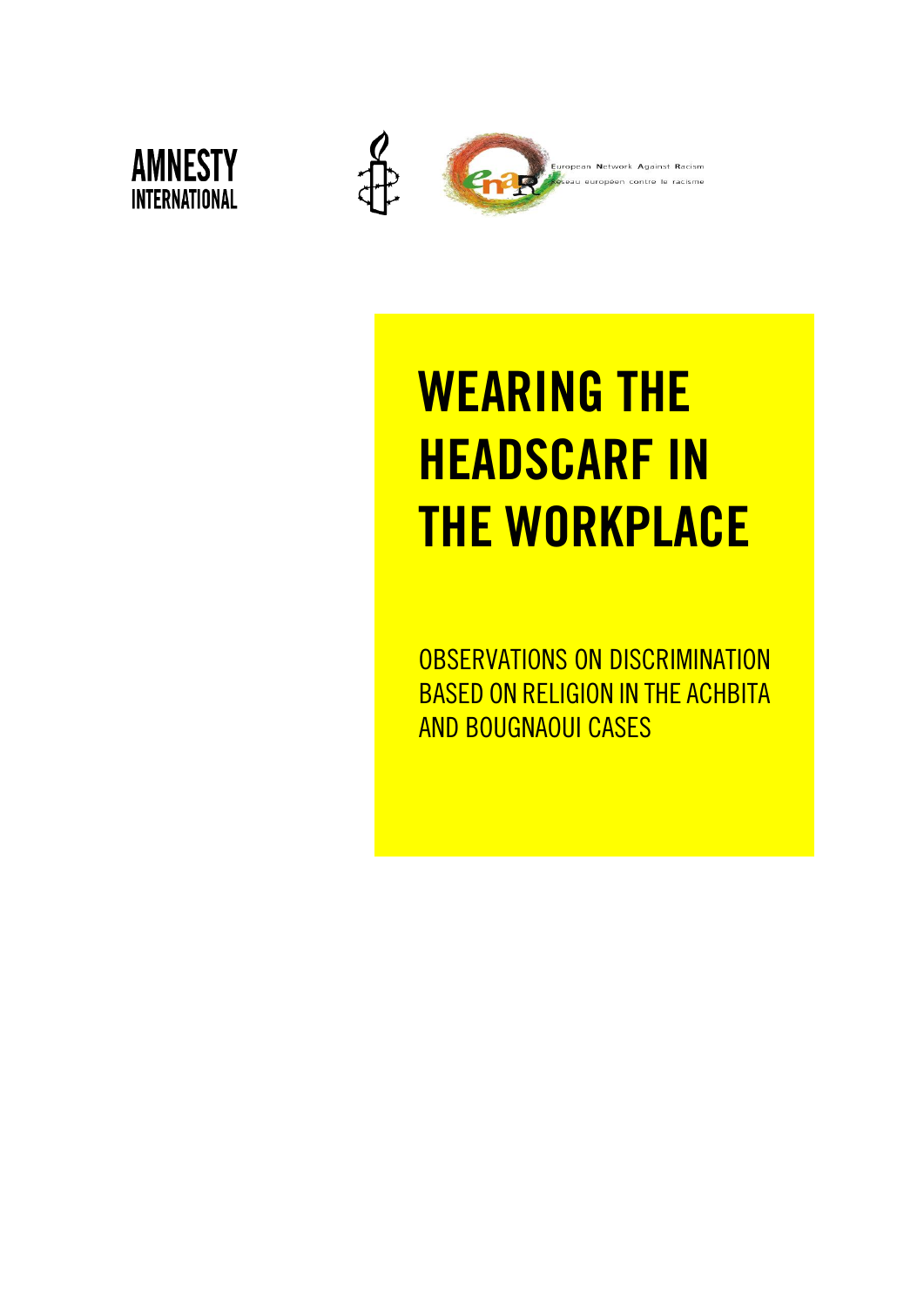



# WEARING THE HEADSCARF IN THE WORKPLACE

OBSERVATIONS ON DISCRIMINATION BASED ON RELIGION IN THE ACHBITA AND BOUGNAOUI CASES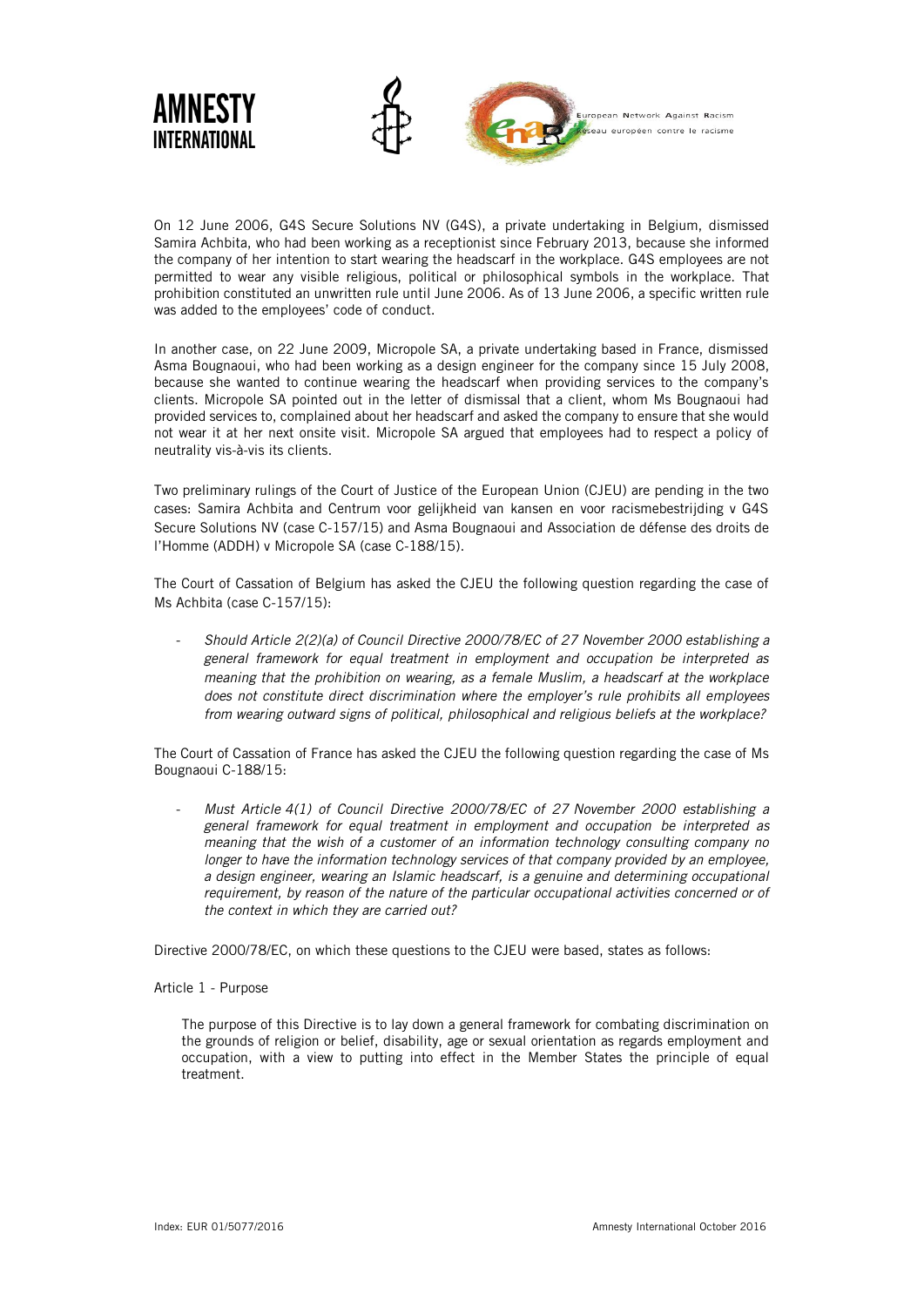

On 12 June 2006, G4S Secure Solutions NV (G4S), a private undertaking in Belgium, dismissed Samira Achbita, who had been working as a receptionist since February 2013, because she informed the company of her intention to start wearing the headscarf in the workplace. G4S employees are not permitted to wear any visible religious, political or philosophical symbols in the workplace. That prohibition constituted an unwritten rule until June 2006. As of 13 June 2006, a specific written rule was added to the employees' code of conduct.

In another case, on 22 June 2009, Micropole SA, a private undertaking based in France, dismissed Asma Bougnaoui, who had been working as a design engineer for the company since 15 July 2008, because she wanted to continue wearing the headscarf when providing services to the company's clients. Micropole SA pointed out in the letter of dismissal that a client, whom Ms Bougnaoui had provided services to, complained about her headscarf and asked the company to ensure that she would not wear it at her next onsite visit. Micropole SA argued that employees had to respect a policy of neutrality vis-à-vis its clients.

Two preliminary rulings of the Court of Justice of the European Union (CJEU) are pending in the two cases: Samira Achbita and Centrum voor gelijkheid van kansen en voor racismebestrijding v G4S Secure Solutions NV (case C-157/15) and Asma Bougnaoui and Association de défense des droits de l'Homme (ADDH) v Micropole SA (case C-188/15).

The Court of Cassation of Belgium has asked the CJEU the following question regarding the case of Ms Achbita (case C-157/15):

- *Should Article 2(2)(a) of Council Directive 2000/78/EC of 27 November 2000 establishing a general framework for equal treatment in employment and occupation be interpreted as meaning that the prohibition on wearing, as a female Muslim, a headscarf at the workplace does not constitute direct discrimination where the employer's rule prohibits all employees from wearing outward signs of political, philosophical and religious beliefs at the workplace?*

The Court of Cassation of France has asked the CJEU the following question regarding the case of Ms Bougnaoui C-188/15:

- *Must Article 4(1) of Council Directive 2000/78/EC of 27 November 2000 establishing a general framework for equal treatment in employment and occupation be interpreted as meaning that the wish of a customer of an information technology consulting company no longer to have the information technology services of that company provided by an employee, a design engineer, wearing an Islamic headscarf, is a genuine and determining occupational requirement, by reason of the nature of the particular occupational activities concerned or of the context in which they are carried out?* 

Directive 2000/78/EC, on which these questions to the CJEU were based, states as follows:

#### Article 1 - Purpose

The purpose of this Directive is to lay down a general framework for combating discrimination on the grounds of religion or belief, disability, age or sexual orientation as regards employment and occupation, with a view to putting into effect in the Member States the principle of equal treatment.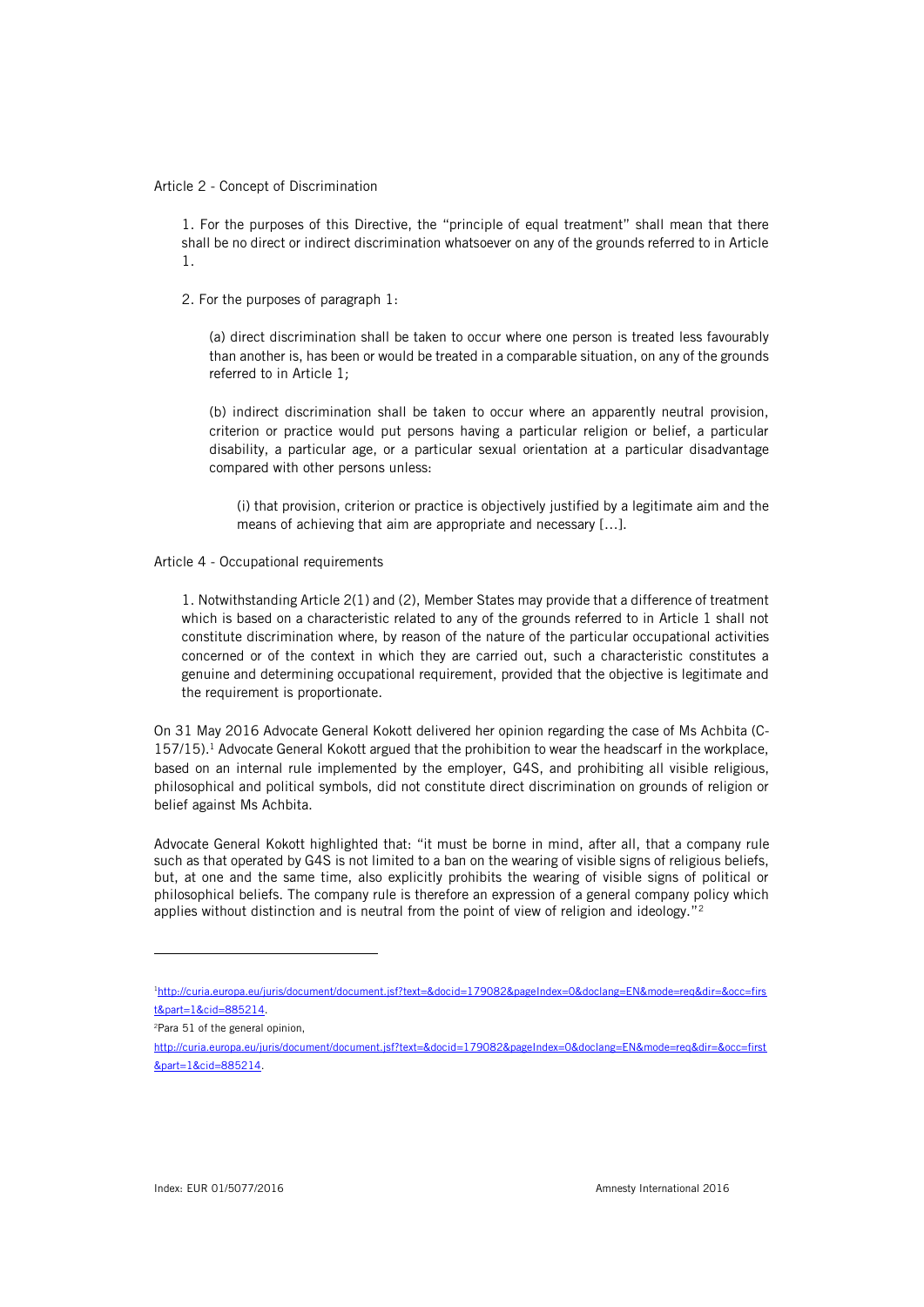Article 2 - Concept of Discrimination

1. For the purposes of this Directive, the "principle of equal treatment" shall mean that there shall be no direct or indirect discrimination whatsoever on any of the grounds referred to in Article 1.

2. For the purposes of paragraph 1:

(a) direct discrimination shall be taken to occur where one person is treated less favourably than another is, has been or would be treated in a comparable situation, on any of the grounds referred to in Article 1;

(b) indirect discrimination shall be taken to occur where an apparently neutral provision, criterion or practice would put persons having a particular religion or belief, a particular disability, a particular age, or a particular sexual orientation at a particular disadvantage compared with other persons unless:

(i) that provision, criterion or practice is objectively justified by a legitimate aim and the means of achieving that aim are appropriate and necessary […].

Article 4 - Occupational requirements

1. Notwithstanding Article 2(1) and (2), Member States may provide that a difference of treatment which is based on a characteristic related to any of the grounds referred to in Article 1 shall not constitute discrimination where, by reason of the nature of the particular occupational activities concerned or of the context in which they are carried out, such a characteristic constitutes a genuine and determining occupational requirement, provided that the objective is legitimate and the requirement is proportionate.

On 31 May 2016 Advocate General Kokott delivered her opinion regarding the case of Ms Achbita (C-157/15).<sup>1</sup> Advocate General Kokott argued that the prohibition to wear the headscarf in the workplace, based on an internal rule implemented by the employer, G4S, and prohibiting all visible religious, philosophical and political symbols, did not constitute direct discrimination on grounds of religion or belief against Ms Achbita.

Advocate General Kokott highlighted that: "it must be borne in mind, after all, that a company rule such as that operated by G4S is not limited to a ban on the wearing of visible signs of religious beliefs, but, at one and the same time, also explicitly prohibits the wearing of visible signs of political or philosophical beliefs. The company rule is therefore an expression of a general company policy which applies without distinction and is neutral from the point of view of religion and ideology."<sup>2</sup>

<sup>1</sup>[http://curia.europa.eu/juris/document/document.jsf?text=&docid=179082&pageIndex=0&doclang=EN&mode=req&dir=&occ=firs](http://curia.europa.eu/juris/document/document.jsf?text=&docid=179082&pageIndex=0&doclang=EN&mode=req&dir=&occ=first&part=1&cid=885214) [t&part=1&cid=885214.](http://curia.europa.eu/juris/document/document.jsf?text=&docid=179082&pageIndex=0&doclang=EN&mode=req&dir=&occ=first&part=1&cid=885214) 

<sup>2</sup>Para 51 of the general opinion,

[http://curia.europa.eu/juris/document/document.jsf?text=&docid=179082&pageIndex=0&doclang=EN&mode=req&dir=&occ=first](http://curia.europa.eu/juris/document/document.jsf?text=&docid=179082&pageIndex=0&doclang=EN&mode=req&dir=&occ=first&part=1&cid=885214) [&part=1&cid=885214.](http://curia.europa.eu/juris/document/document.jsf?text=&docid=179082&pageIndex=0&doclang=EN&mode=req&dir=&occ=first&part=1&cid=885214)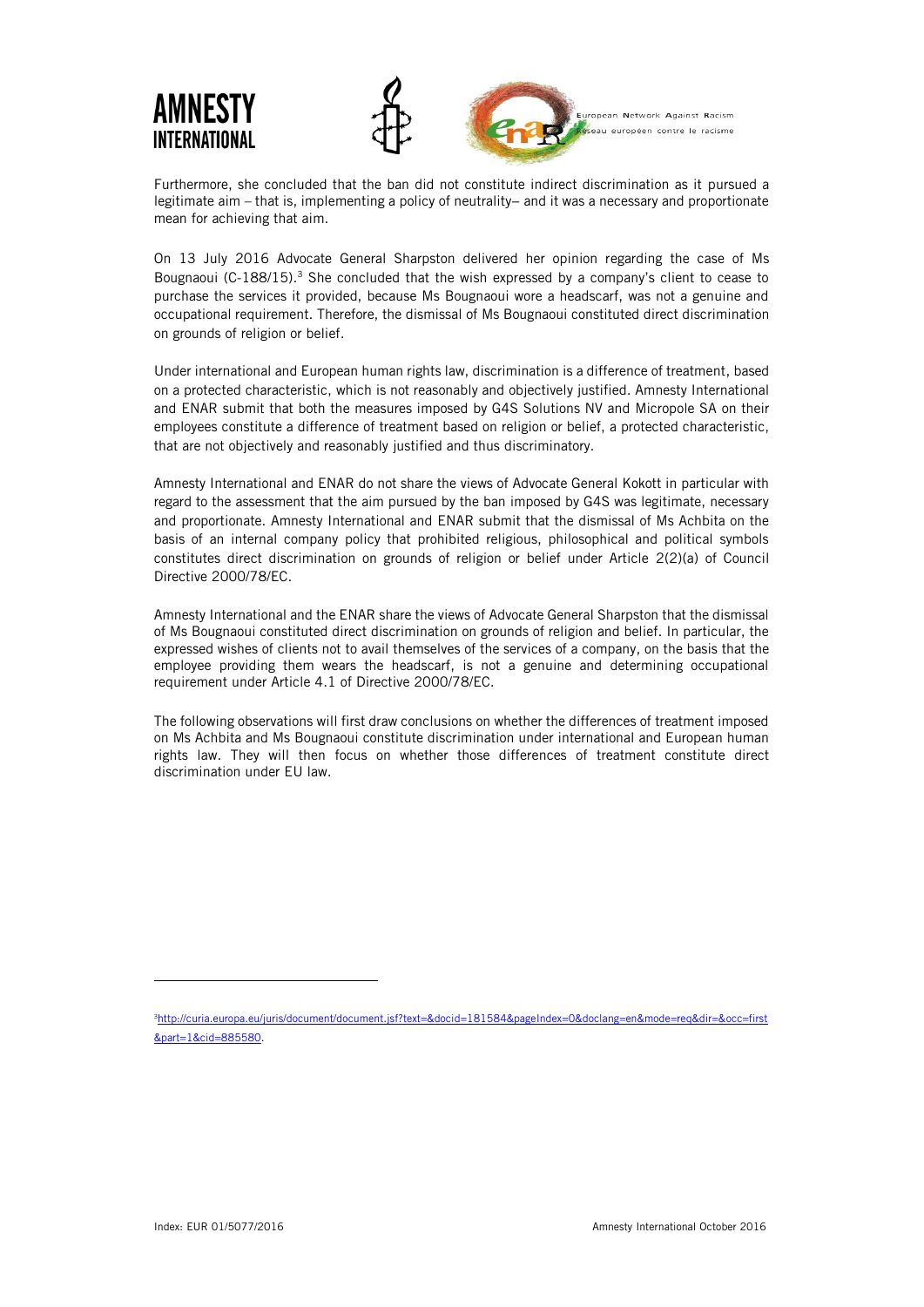

Furthermore, she concluded that the ban did not constitute indirect discrimination as it pursued a legitimate aim – that is, implementing a policy of neutrality− and it was a necessary and proportionate mean for achieving that aim.

On 13 July 2016 Advocate General Sharpston delivered her opinion regarding the case of Ms Bougnaoui (C-188/15). $3$  She concluded that the wish expressed by a company's client to cease to purchase the services it provided, because Ms Bougnaoui wore a headscarf, was not a genuine and occupational requirement. Therefore, the dismissal of Ms Bougnaoui constituted direct discrimination on grounds of religion or belief.

Under international and European human rights law, discrimination is a difference of treatment, based on a protected characteristic, which is not reasonably and objectively justified. Amnesty International and ENAR submit that both the measures imposed by G4S Solutions NV and Micropole SA on their employees constitute a difference of treatment based on religion or belief, a protected characteristic, that are not objectively and reasonably justified and thus discriminatory.

Amnesty International and ENAR do not share the views of Advocate General Kokott in particular with regard to the assessment that the aim pursued by the ban imposed by G4S was legitimate, necessary and proportionate. Amnesty International and ENAR submit that the dismissal of Ms Achbita on the basis of an internal company policy that prohibited religious, philosophical and political symbols constitutes direct discrimination on grounds of religion or belief under Article 2(2)(a) of Council Directive 2000/78/EC.

Amnesty International and the ENAR share the views of Advocate General Sharpston that the dismissal of Ms Bougnaoui constituted direct discrimination on grounds of religion and belief. In particular, the expressed wishes of clients not to avail themselves of the services of a company, on the basis that the employee providing them wears the headscarf, is not a genuine and determining occupational requirement under Article 4.1 of Directive 2000/78/EC.

The following observations will first draw conclusions on whether the differences of treatment imposed on Ms Achbita and Ms Bougnaoui constitute discrimination under international and European human rights law. They will then focus on whether those differences of treatment constitute direct discrimination under EU law.

<sup>3</sup>[http://curia.europa.eu/juris/document/document.jsf?text=&docid=181584&pageIndex=0&doclang=en&mode=req&dir=&occ=first](http://curia.europa.eu/juris/document/document.jsf?text=&docid=181584&pageIndex=0&doclang=en&mode=req&dir=&occ=first&part=1&cid=885580) [&part=1&cid=885580.](http://curia.europa.eu/juris/document/document.jsf?text=&docid=181584&pageIndex=0&doclang=en&mode=req&dir=&occ=first&part=1&cid=885580)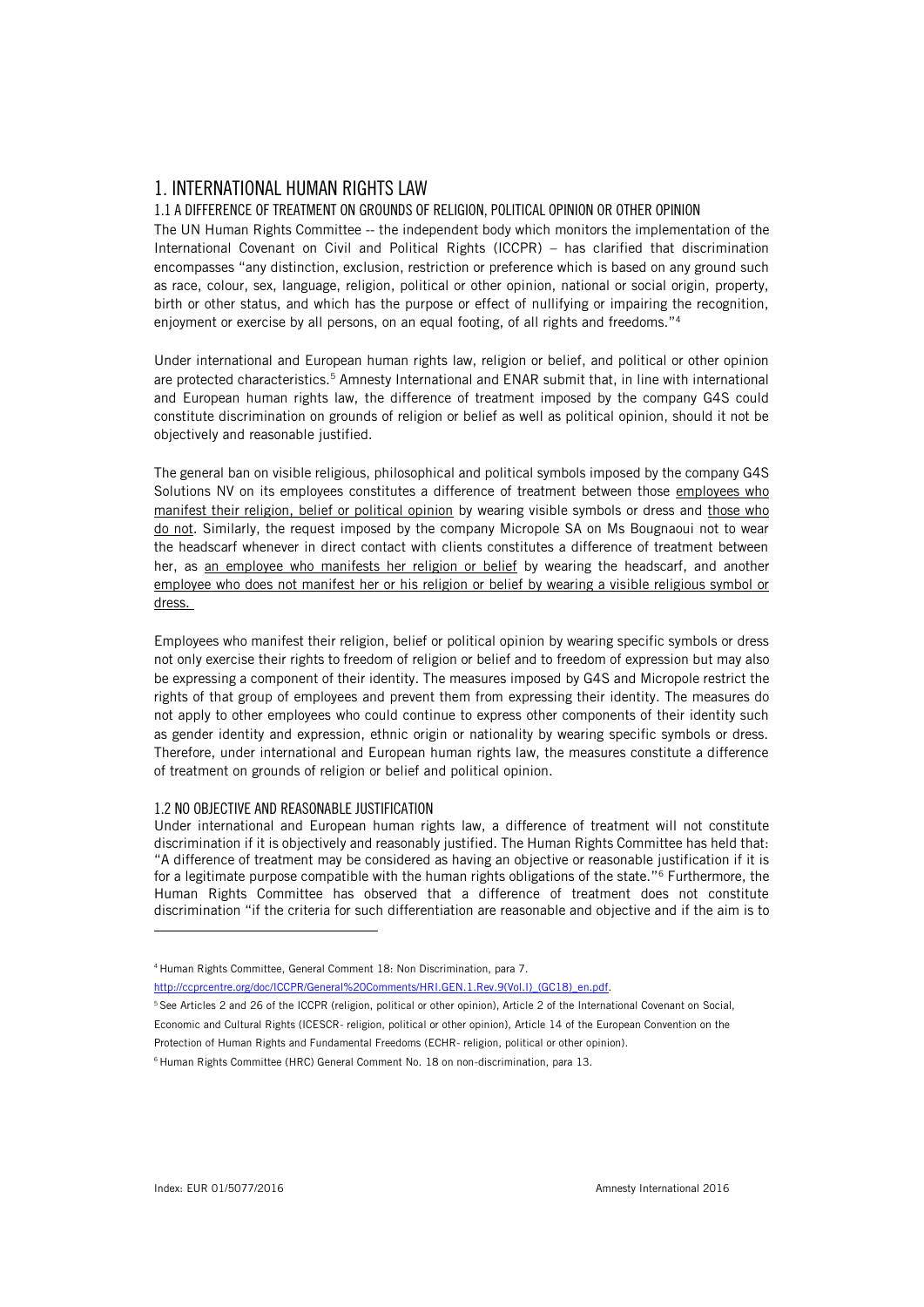## 1. INTERNATIONAL HUMAN RIGHTS LAW

### 1.1 A DIFFERENCE OF TREATMENT ON GROUNDS OF RELIGION, POLITICAL OPINION OR OTHER OPINION

The UN Human Rights Committee -- the independent body which monitors the implementation of the International Covenant on Civil and Political Rights (ICCPR) – has clarified that discrimination encompasses "any distinction, exclusion, restriction or preference which is based on any ground such as race, colour, sex, language, religion, political or other opinion, national or social origin, property, birth or other status, and which has the purpose or effect of nullifying or impairing the recognition, enjoyment or exercise by all persons, on an equal footing, of all rights and freedoms."<sup>4</sup>

Under international and European human rights law, religion or belief, and political or other opinion are protected characteristics.<sup>5</sup> Amnesty International and ENAR submit that, in line with international and European human rights law, the difference of treatment imposed by the company G4S could constitute discrimination on grounds of religion or belief as well as political opinion, should it not be objectively and reasonable justified.

The general ban on visible religious, philosophical and political symbols imposed by the company G4S Solutions NV on its employees constitutes a difference of treatment between those employees who manifest their religion, belief or political opinion by wearing visible symbols or dress and those who do not. Similarly, the request imposed by the company Micropole SA on Ms Bougnaoui not to wear the headscarf whenever in direct contact with clients constitutes a difference of treatment between her, as an employee who manifests her religion or belief by wearing the headscarf, and another employee who does not manifest her or his religion or belief by wearing a visible religious symbol or dress.

Employees who manifest their religion, belief or political opinion by wearing specific symbols or dress not only exercise their rights to freedom of religion or belief and to freedom of expression but may also be expressing a component of their identity. The measures imposed by G4S and Micropole restrict the rights of that group of employees and prevent them from expressing their identity. The measures do not apply to other employees who could continue to express other components of their identity such as gender identity and expression, ethnic origin or nationality by wearing specific symbols or dress. Therefore, under international and European human rights law, the measures constitute a difference of treatment on grounds of religion or belief and political opinion.

#### 1.2 NO OBJECTIVE AND REASONABLE JUSTIFICATION

Under international and European human rights law, a difference of treatment will not constitute discrimination if it is objectively and reasonably justified. The Human Rights Committee has held that: "A difference of treatment may be considered as having an objective or reasonable justification if it is for a legitimate purpose compatible with the human rights obligations of the state."<sup>6</sup> Furthermore, the Human Rights Committee has observed that a difference of treatment does not constitute discrimination "if the criteria for such differentiation are reasonable and objective and if the aim is to

[http://ccprcentre.org/doc/ICCPR/General%20Comments/HRI.GEN.1.Rev.9\(Vol.I\)\\_\(GC18\)\\_en.pdf.](http://ccprcentre.org/doc/ICCPR/General%20Comments/HRI.GEN.1.Rev.9(Vol.I)_(GC18)_en.pdf)

<sup>5</sup> See Articles 2 and 26 of the ICCPR (religion, political or other opinion), Article 2 of the International Covenant on Social, Economic and Cultural Rights (ICESCR- religion, political or other opinion), Article 14 of the European Convention on the Protection of Human Rights and Fundamental Freedoms (ECHR- religion, political or other opinion).

<sup>4</sup> Human Rights Committee, General Comment 18: Non Discrimination, para 7.

<sup>6</sup> Human Rights Committee (HRC) General Comment No. 18 on non-discrimination, para 13.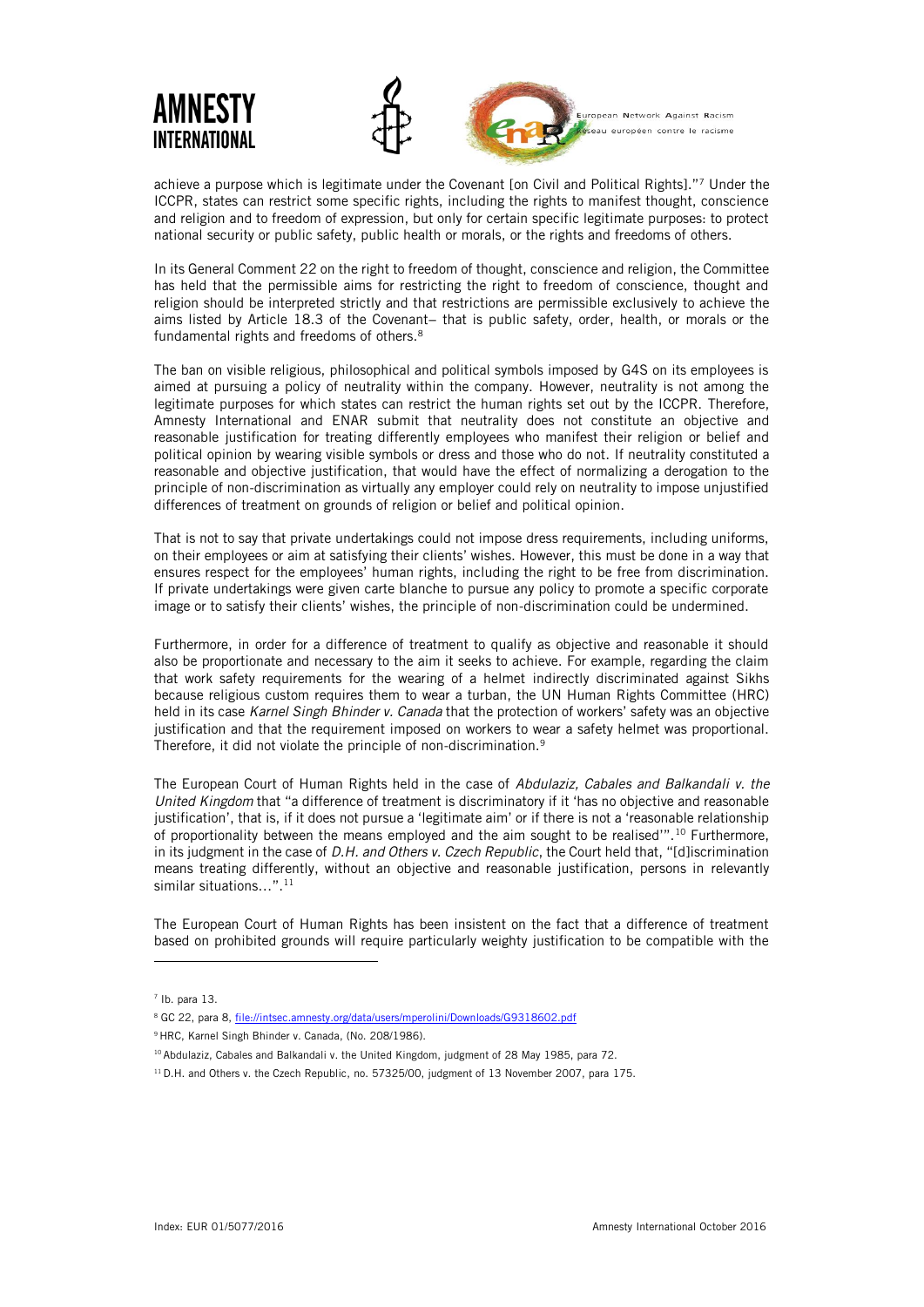

achieve a purpose which is legitimate under the Covenant [on Civil and Political Rights]."<sup>7</sup> Under the ICCPR, states can restrict some specific rights, including the rights to manifest thought, conscience and religion and to freedom of expression, but only for certain specific legitimate purposes: to protect national security or public safety, public health or morals, or the rights and freedoms of others.

In its General Comment 22 on the right to freedom of thought, conscience and religion, the Committee has held that the permissible aims for restricting the right to freedom of conscience, thought and religion should be interpreted strictly and that restrictions are permissible exclusively to achieve the aims listed by Article 18.3 of the Covenant− that is public safety, order, health, or morals or the fundamental rights and freedoms of others.<sup>8</sup>

The ban on visible religious, philosophical and political symbols imposed by G4S on its employees is aimed at pursuing a policy of neutrality within the company. However, neutrality is not among the legitimate purposes for which states can restrict the human rights set out by the ICCPR. Therefore, Amnesty International and ENAR submit that neutrality does not constitute an objective and reasonable justification for treating differently employees who manifest their religion or belief and political opinion by wearing visible symbols or dress and those who do not. If neutrality constituted a reasonable and objective justification, that would have the effect of normalizing a derogation to the principle of non-discrimination as virtually any employer could rely on neutrality to impose unjustified differences of treatment on grounds of religion or belief and political opinion.

That is not to say that private undertakings could not impose dress requirements, including uniforms, on their employees or aim at satisfying their clients' wishes. However, this must be done in a way that ensures respect for the employees' human rights, including the right to be free from discrimination. If private undertakings were given carte blanche to pursue any policy to promote a specific corporate image or to satisfy their clients' wishes, the principle of non-discrimination could be undermined.

Furthermore, in order for a difference of treatment to qualify as objective and reasonable it should also be proportionate and necessary to the aim it seeks to achieve. For example, regarding the claim that work safety requirements for the wearing of a helmet indirectly discriminated against Sikhs because religious custom requires them to wear a turban, the UN Human Rights Committee (HRC) held in its case *Karnel Singh Bhinder v. Canada* that the protection of workers' safety was an objective justification and that the requirement imposed on workers to wear a safety helmet was proportional. Therefore, it did not violate the principle of non-discrimination.<sup>9</sup>

The European Court of Human Rights held in the case of *Abdulaziz, Cabales and Balkandali v. the United Kingdom* that "a difference of treatment is discriminatory if it 'has no objective and reasonable justification', that is, if it does not pursue a 'legitimate aim' or if there is not a 'reasonable relationship of proportionality between the means employed and the aim sought to be realised'".<sup>10</sup> Furthermore, in its judgment in the case of *D.H. and Others v. Czech Republic*, the Court held that, "[d]iscrimination means treating differently, without an objective and reasonable justification, persons in relevantly similar situations...".<sup>11</sup>

The European Court of Human Rights has been insistent on the fact that a difference of treatment based on prohibited grounds will require particularly weighty justification to be compatible with the

 $<sup>7</sup>$  Ib. para 13.</sup>

<sup>8</sup> GC 22, para 8[, file://intsec.amnesty.org/data/users/mperolini/Downloads/G9318602.pdf](file://///intsec.amnesty.org/data/users/mperolini/Downloads/G9318602.pdf)

<sup>&</sup>lt;sup>9</sup> HRC, Karnel Singh Bhinder v. Canada, (No. 208/1986).

<sup>&</sup>lt;sup>10</sup> Abdulaziz, Cabales and Balkandali v. the United Kingdom, judgment of 28 May 1985, para 72.

<sup>&</sup>lt;sup>11</sup> D.H. and Others v. the Czech Republic, no. 57325/00, judgment of 13 November 2007, para 175.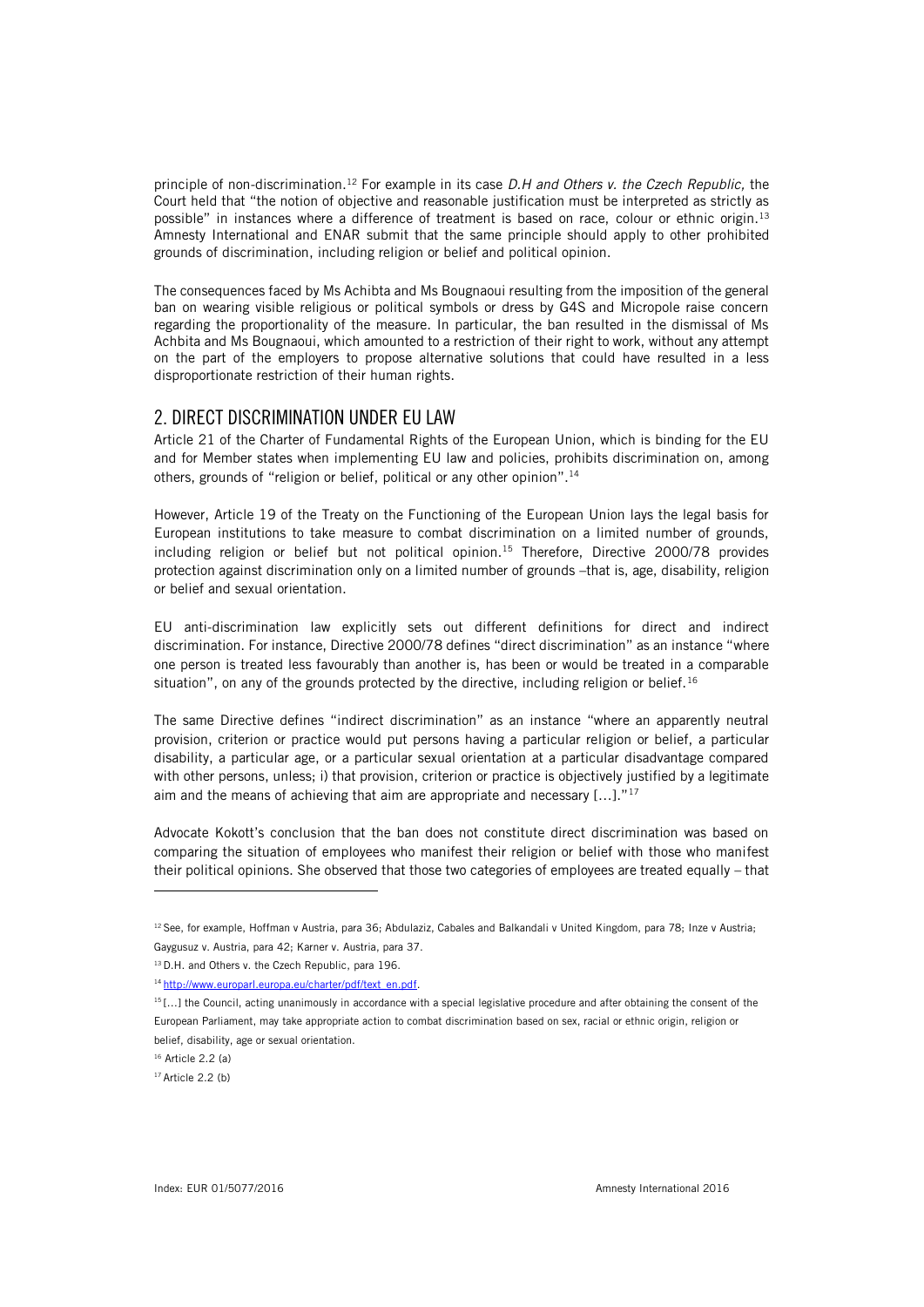principle of non-discrimination.<sup>12</sup> For example in its case *D.H and Others v. the Czech Republic,* the Court held that "the notion of objective and reasonable justification must be interpreted as strictly as possible" in instances where a difference of treatment is based on race, colour or ethnic origin.<sup>13</sup> Amnesty International and ENAR submit that the same principle should apply to other prohibited grounds of discrimination, including religion or belief and political opinion.

The consequences faced by Ms Achibta and Ms Bougnaoui resulting from the imposition of the general ban on wearing visible religious or political symbols or dress by G4S and Micropole raise concern regarding the proportionality of the measure. In particular, the ban resulted in the dismissal of Ms Achbita and Ms Bougnaoui, which amounted to a restriction of their right to work, without any attempt on the part of the employers to propose alternative solutions that could have resulted in a less disproportionate restriction of their human rights.

## 2. DIRECT DISCRIMINATION UNDER EU LAW

Article 21 of the Charter of Fundamental Rights of the European Union, which is binding for the EU and for Member states when implementing EU law and policies, prohibits discrimination on, among others, grounds of "religion or belief, political or any other opinion".<sup>14</sup>

However, Article 19 of the Treaty on the Functioning of the European Union lays the legal basis for European institutions to take measure to combat discrimination on a limited number of grounds, including religion or belief but not political opinion.<sup>15</sup> Therefore, Directive 2000/78 provides protection against discrimination only on a limited number of grounds –that is, age, disability, religion or belief and sexual orientation.

EU anti-discrimination law explicitly sets out different definitions for direct and indirect discrimination. For instance, Directive 2000/78 defines "direct discrimination" as an instance "where one person is treated less favourably than another is, has been or would be treated in a comparable situation", on any of the grounds protected by the directive, including religion or belief.<sup>16</sup>

The same Directive defines "indirect discrimination" as an instance "where an apparently neutral provision, criterion or practice would put persons having a particular religion or belief, a particular disability, a particular age, or a particular sexual orientation at a particular disadvantage compared with other persons, unless; i) that provision, criterion or practice is objectively justified by a legitimate aim and the means of achieving that aim are appropriate and necessary  $[...]$ ."<sup>17</sup>

Advocate Kokott's conclusion that the ban does not constitute direct discrimination was based on comparing the situation of employees who manifest their religion or belief with those who manifest their political opinions. She observed that those two categories of employees are treated equally – that

<sup>&</sup>lt;sup>12</sup> See, for example, Hoffman v Austria, para 36; Abdulaziz, Cabales and Balkandali v United Kingdom, para 78; Inze v Austria; Gaygusuz v. Austria, para 42; Karner v. Austria, para 37.

<sup>13</sup> D.H. and Others v. the Czech Republic, para 196.

<sup>14</sup> [http://www.europarl.europa.eu/charter/pdf/text\\_en.pdf.](http://www.europarl.europa.eu/charter/pdf/text_en.pdf) 

<sup>&</sup>lt;sup>15</sup>[...] the Council, acting unanimously in accordance with a special legislative procedure and after obtaining the consent of the European Parliament, may take appropriate action to combat discrimination based on sex, racial or ethnic origin, religion or belief, disability, age or sexual orientation.

<sup>16</sup> Article 2.2 (a)

 $17$  Article 2.2 (b)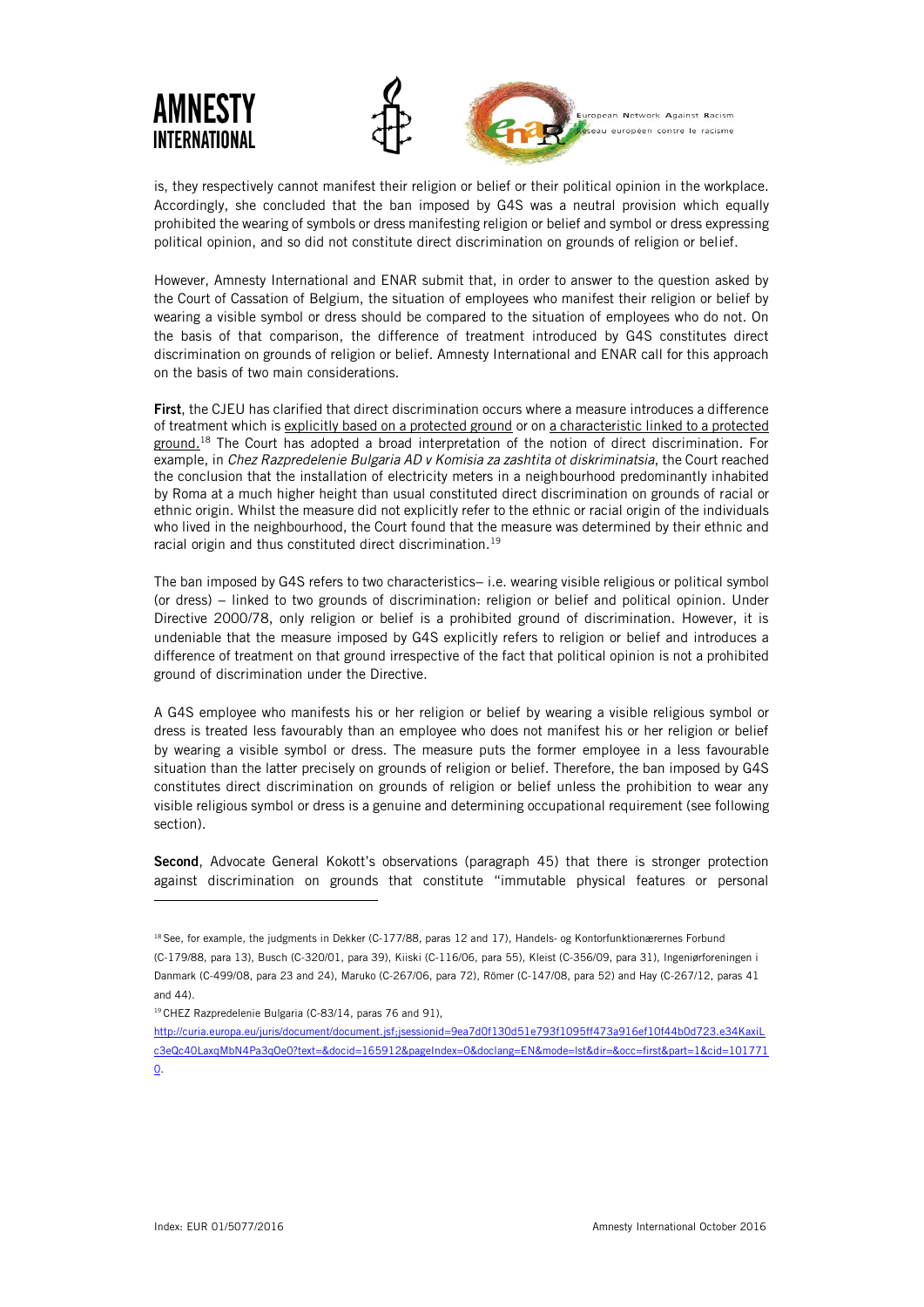

is, they respectively cannot manifest their religion or belief or their political opinion in the workplace. Accordingly, she concluded that the ban imposed by G4S was a neutral provision which equally prohibited the wearing of symbols or dress manifesting religion or belief and symbol or dress expressing political opinion, and so did not constitute direct discrimination on grounds of religion or belief.

However, Amnesty International and ENAR submit that, in order to answer to the question asked by the Court of Cassation of Belgium, the situation of employees who manifest their religion or belief by wearing a visible symbol or dress should be compared to the situation of employees who do not. On the basis of that comparison, the difference of treatment introduced by G4S constitutes direct discrimination on grounds of religion or belief. Amnesty International and ENAR call for this approach on the basis of two main considerations.

First, the CJEU has clarified that direct discrimination occurs where a measure introduces a difference of treatment which is explicitly based on a protected ground or on a characteristic linked to a protected ground.<sup>18</sup> The Court has adopted a broad interpretation of the notion of direct discrimination. For example, in *Chez Razpredelenie Bulgaria AD v Komisia za zashtita ot diskriminatsia*, the Court reached the conclusion that the installation of electricity meters in a neighbourhood predominantly inhabited by Roma at a much higher height than usual constituted direct discrimination on grounds of racial or ethnic origin. Whilst the measure did not explicitly refer to the ethnic or racial origin of the individuals who lived in the neighbourhood, the Court found that the measure was determined by their ethnic and racial origin and thus constituted direct discrimination.<sup>19</sup>

The ban imposed by G4S refers to two characteristics– i.e. wearing visible religious or political symbol (or dress) − linked to two grounds of discrimination: religion or belief and political opinion. Under Directive 2000/78, only religion or belief is a prohibited ground of discrimination. However, it is undeniable that the measure imposed by G4S explicitly refers to religion or belief and introduces a difference of treatment on that ground irrespective of the fact that political opinion is not a prohibited ground of discrimination under the Directive.

A G4S employee who manifests his or her religion or belief by wearing a visible religious symbol or dress is treated less favourably than an employee who does not manifest his or her religion or belief by wearing a visible symbol or dress. The measure puts the former employee in a less favourable situation than the latter precisely on grounds of religion or belief. Therefore, the ban imposed by G4S constitutes direct discrimination on grounds of religion or belief unless the prohibition to wear any visible religious symbol or dress is a genuine and determining occupational requirement (see following section).

Second, Advocate General Kokott's observations (paragraph 45) that there is stronger protection against discrimination on grounds that constitute "immutable physical features or personal

- <sup>19</sup> CHEZ Razpredelenie Bulgaria (C-83/14, paras 76 and 91),
- [http://curia.europa.eu/juris/document/document.jsf;jsessionid=9ea7d0f130d51e793f1095ff473a916ef10f44b0d723.e34KaxiL](http://curia.europa.eu/juris/document/document.jsf;jsessionid=9ea7d0f130d51e793f1095ff473a916ef10f44b0d723.e34KaxiLc3eQc40LaxqMbN4Pa3qOe0?text=&docid=165912&pageIndex=0&doclang=EN&mode=lst&dir=&occ=first&part=1&cid=1017710) [c3eQc40LaxqMbN4Pa3qOe0?text=&docid=165912&pageIndex=0&doclang=EN&mode=lst&dir=&occ=first&part=1&cid=101771](http://curia.europa.eu/juris/document/document.jsf;jsessionid=9ea7d0f130d51e793f1095ff473a916ef10f44b0d723.e34KaxiLc3eQc40LaxqMbN4Pa3qOe0?text=&docid=165912&pageIndex=0&doclang=EN&mode=lst&dir=&occ=first&part=1&cid=1017710)

<sup>&</sup>lt;sup>18</sup> See, for example, the judgments in Dekker (C-177/88, paras 12 and 17), Handels- og Kontorfunktionærernes Forbund (C-179/88, para 13), Busch (C-320/01, para 39), Kiiski (C-116/06, para 55), Kleist (C-356/09, para 31), Ingeniørforeningen i Danmark (C-499/08, para 23 and 24), Maruko (C-267/06, para 72), Römer (C-147/08, para 52) and Hay (C-267/12, paras 41 and 44).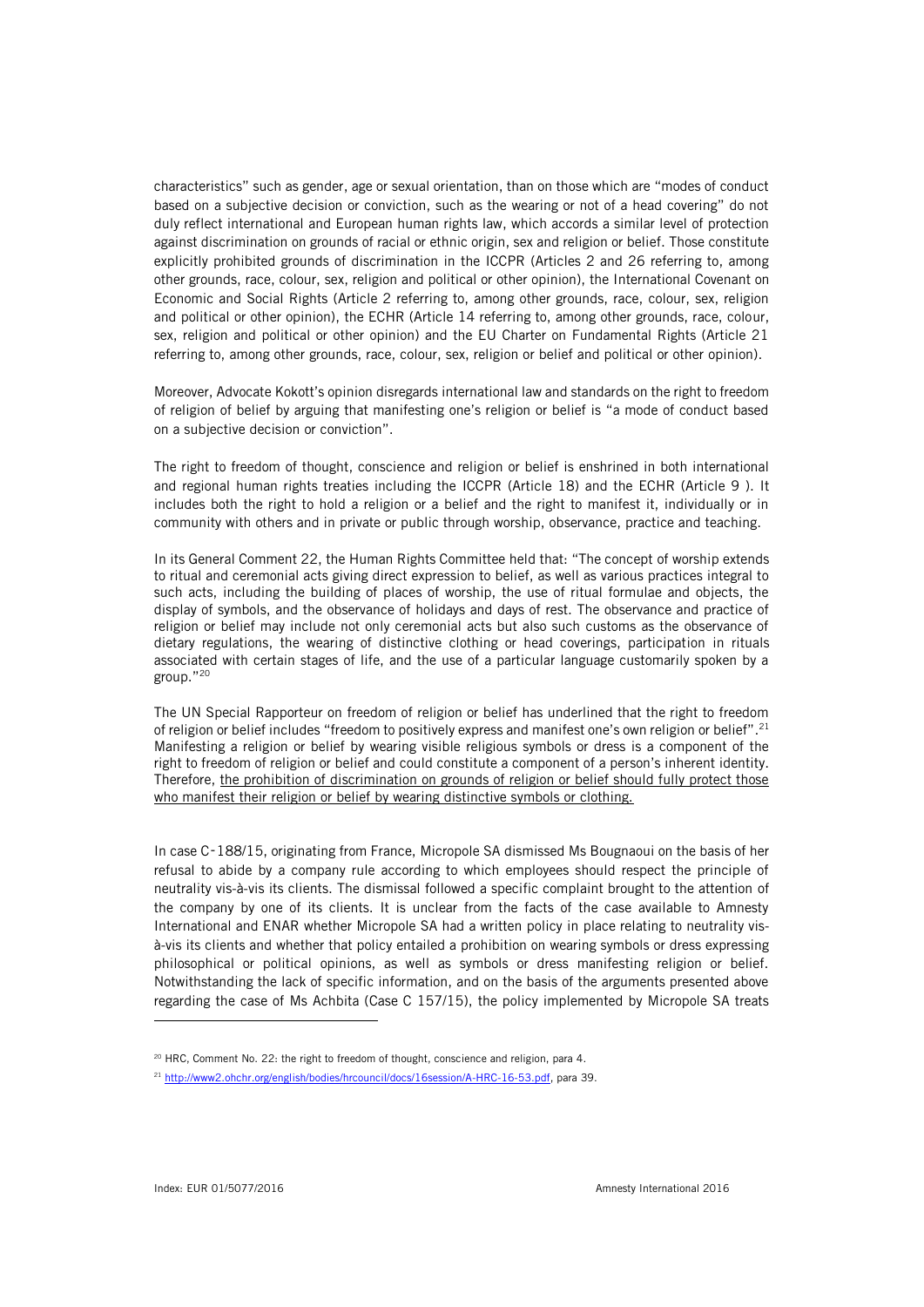characteristics" such as gender, age or sexual orientation, than on those which are "modes of conduct based on a subjective decision or conviction, such as the wearing or not of a head covering" do not duly reflect international and European human rights law, which accords a similar level of protection against discrimination on grounds of racial or ethnic origin, sex and religion or belief. Those constitute explicitly prohibited grounds of discrimination in the ICCPR (Articles 2 and 26 referring to, among other grounds, race, colour, sex, religion and political or other opinion), the International Covenant on Economic and Social Rights (Article 2 referring to, among other grounds, race, colour, sex, religion and political or other opinion), the ECHR (Article 14 referring to, among other grounds, race, colour, sex, religion and political or other opinion) and the EU Charter on Fundamental Rights (Article 21 referring to, among other grounds, race, colour, sex, religion or belief and political or other opinion).

Moreover, Advocate Kokott's opinion disregards international law and standards on the right to freedom of religion of belief by arguing that manifesting one's religion or belief is "a mode of conduct based on a subjective decision or conviction".

The right to freedom of thought, conscience and religion or belief is enshrined in both international and regional human rights treaties including the ICCPR (Article 18) and the ECHR (Article 9 ). It includes both the right to hold a religion or a belief and the right to manifest it, individually or in community with others and in private or public through worship, observance, practice and teaching.

In its General Comment 22, the Human Rights Committee held that: "The concept of worship extends to ritual and ceremonial acts giving direct expression to belief, as well as various practices integral to such acts, including the building of places of worship, the use of ritual formulae and objects, the display of symbols, and the observance of holidays and days of rest. The observance and practice of religion or belief may include not only ceremonial acts but also such customs as the observance of dietary regulations, the wearing of distinctive clothing or head coverings, participation in rituals associated with certain stages of life, and the use of a particular language customarily spoken by a group."<sup>20</sup>

The UN Special Rapporteur on freedom of religion or belief has underlined that the right to freedom of religion or belief includes "freedom to positively express and manifest one's own religion or belief".<sup>21</sup> Manifesting a religion or belief by wearing visible religious symbols or dress is a component of the right to freedom of religion or belief and could constitute a component of a person's inherent identity. Therefore, the prohibition of discrimination on grounds of religion or belief should fully protect those who manifest their religion or belief by wearing distinctive symbols or clothing.

In case C‑188/15, originating from France, Micropole SA dismissed Ms Bougnaoui on the basis of her refusal to abide by a company rule according to which employees should respect the principle of neutrality vis-à-vis its clients. The dismissal followed a specific complaint brought to the attention of the company by one of its clients. It is unclear from the facts of the case available to Amnesty International and ENAR whether Micropole SA had a written policy in place relating to neutrality visà-vis its clients and whether that policy entailed a prohibition on wearing symbols or dress expressing philosophical or political opinions, as well as symbols or dress manifesting religion or belief. Notwithstanding the lack of specific information, and on the basis of the arguments presented above regarding the case of Ms Achbita (Case C 157/15), the policy implemented by Micropole SA treats

<sup>&</sup>lt;sup>20</sup> HRC, Comment No. 22: the right to freedom of thought, conscience and religion, para 4.

<sup>21</sup> [http://www2.ohchr.org/english/bodies/hrcouncil/docs/16session/A-HRC-16-53.pdf,](http://www2.ohchr.org/english/bodies/hrcouncil/docs/16session/A-HRC-16-53.pdf) para 39.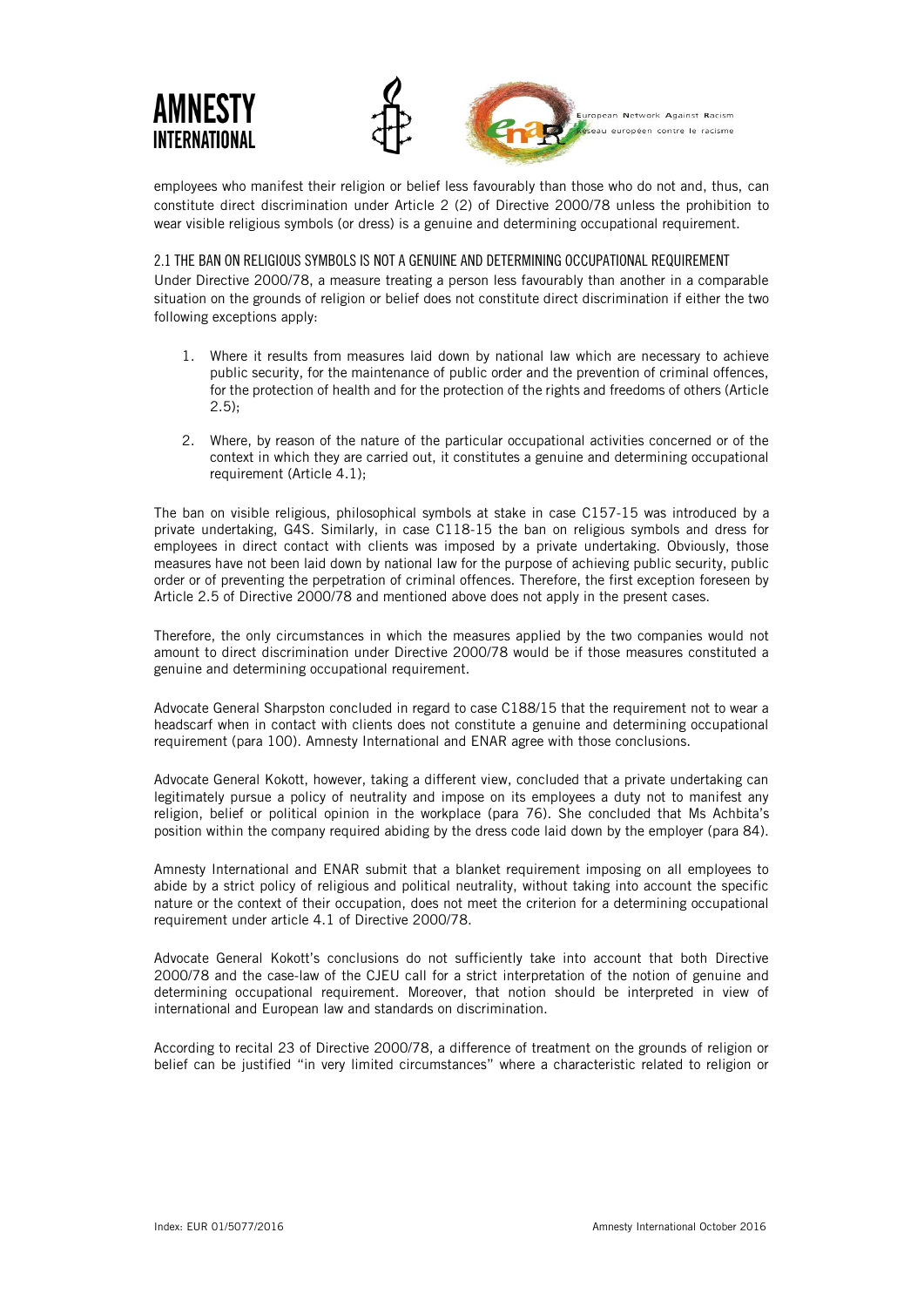

employees who manifest their religion or belief less favourably than those who do not and, thus, can constitute direct discrimination under Article 2 (2) of Directive 2000/78 unless the prohibition to wear visible religious symbols (or dress) is a genuine and determining occupational requirement.

2.1 THE BAN ON RELIGIOUS SYMBOLS IS NOT A GENUINE AND DETERMINING OCCUPATIONAL REQUIREMENT

Under Directive 2000/78, a measure treating a person less favourably than another in a comparable situation on the grounds of religion or belief does not constitute direct discrimination if either the two following exceptions apply:

- 1. Where it results from measures laid down by national law which are necessary to achieve public security, for the maintenance of public order and the prevention of criminal offences, for the protection of health and for the protection of the rights and freedoms of others (Article  $2.5$ );
- 2. Where, by reason of the nature of the particular occupational activities concerned or of the context in which they are carried out, it constitutes a genuine and determining occupational requirement (Article 4.1);

The ban on visible religious, philosophical symbols at stake in case C157-15 was introduced by a private undertaking, G4S. Similarly, in case C118-15 the ban on religious symbols and dress for employees in direct contact with clients was imposed by a private undertaking. Obviously, those measures have not been laid down by national law for the purpose of achieving public security, public order or of preventing the perpetration of criminal offences. Therefore, the first exception foreseen by Article 2.5 of Directive 2000/78 and mentioned above does not apply in the present cases.

Therefore, the only circumstances in which the measures applied by the two companies would not amount to direct discrimination under Directive 2000/78 would be if those measures constituted a genuine and determining occupational requirement.

Advocate General Sharpston concluded in regard to case C188/15 that the requirement not to wear a headscarf when in contact with clients does not constitute a genuine and determining occupational requirement (para 100). Amnesty International and ENAR agree with those conclusions.

Advocate General Kokott, however, taking a different view, concluded that a private undertaking can legitimately pursue a policy of neutrality and impose on its employees a duty not to manifest any religion, belief or political opinion in the workplace (para 76). She concluded that Ms Achbita's position within the company required abiding by the dress code laid down by the employer (para 84).

Amnesty International and ENAR submit that a blanket requirement imposing on all employees to abide by a strict policy of religious and political neutrality, without taking into account the specific nature or the context of their occupation, does not meet the criterion for a determining occupational requirement under article 4.1 of Directive 2000/78.

Advocate General Kokott's conclusions do not sufficiently take into account that both Directive 2000/78 and the case-law of the CJEU call for a strict interpretation of the notion of genuine and determining occupational requirement. Moreover, that notion should be interpreted in view of international and European law and standards on discrimination.

According to recital 23 of Directive 2000/78, a difference of treatment on the grounds of religion or belief can be justified "in very limited circumstances" where a characteristic related to religion or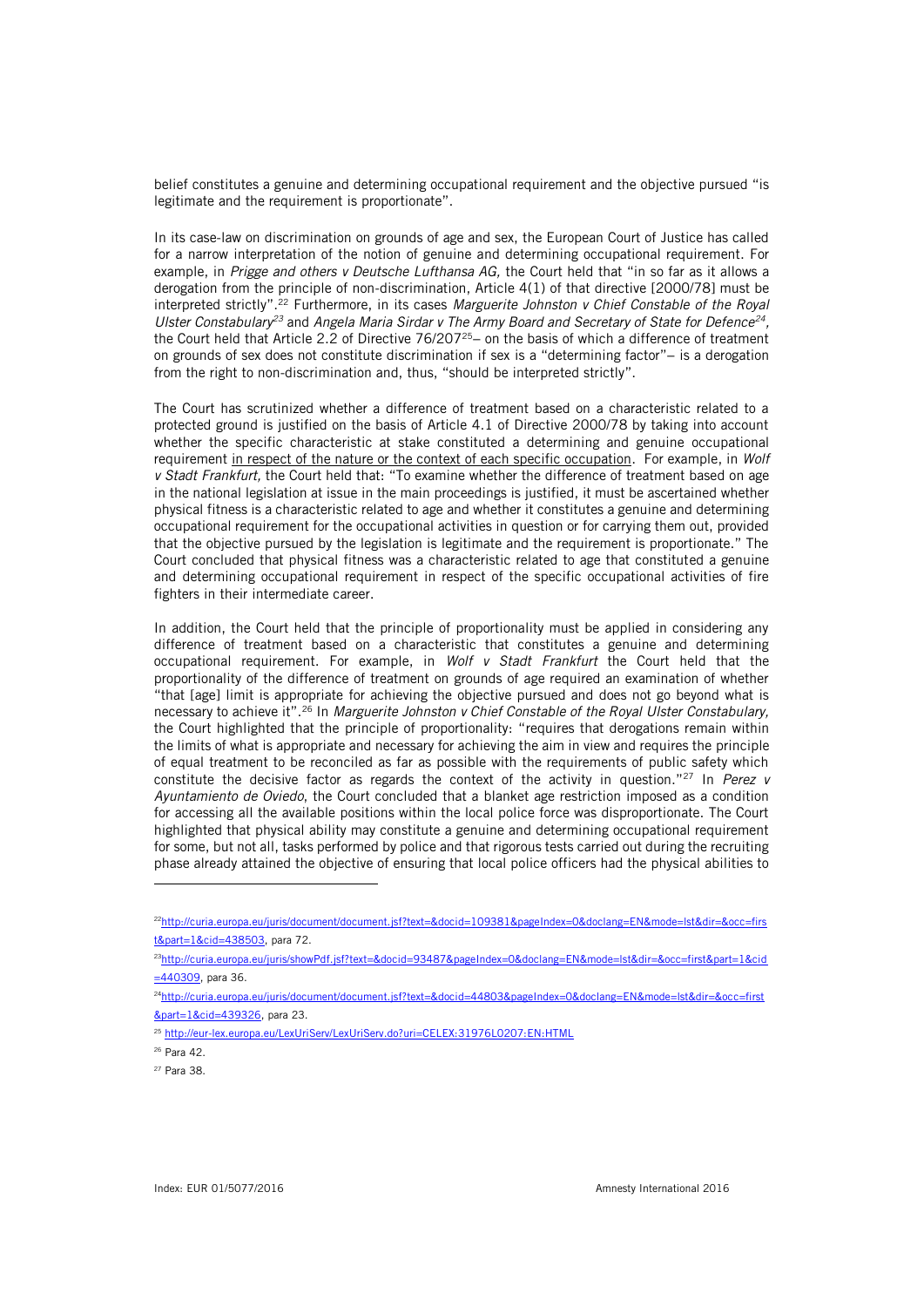belief constitutes a genuine and determining occupational requirement and the objective pursued "is legitimate and the requirement is proportionate".

In its case-law on discrimination on grounds of age and sex, the European Court of Justice has called for a narrow interpretation of the notion of genuine and determining occupational requirement. For example, in *Prigge and others v Deutsche Lufthansa AG,* the Court held that "in so far as it allows a derogation from the principle of non-discrimination, Article 4(1) of that directive [2000/78] must be interpreted strictly".<sup>22</sup> Furthermore, in its cases *Marguerite Johnston v Chief Constable of the Royal Ulster Constabulary<sup>23</sup>* and *Angela Maria Sirdar v The Army Board and Secretary of State for Defence<sup>24</sup> ,*  the Court held that Article 2.2 of Directive 76/207<sup>25</sup>− on the basis of which a difference of treatment on grounds of sex does not constitute discrimination if sex is a "determining factor"− is a derogation from the right to non-discrimination and, thus, "should be interpreted strictly".

The Court has scrutinized whether a difference of treatment based on a characteristic related to a protected ground is justified on the basis of Article 4.1 of Directive 2000/78 by taking into account whether the specific characteristic at stake constituted a determining and genuine occupational requirement in respect of the nature or the context of each specific occupation. For example, in *Wolf v Stadt Frankfurt,* the Court held that: "To examine whether the difference of treatment based on age in the national legislation at issue in the main proceedings is justified, it must be ascertained whether physical fitness is a characteristic related to age and whether it constitutes a genuine and determining occupational requirement for the occupational activities in question or for carrying them out, provided that the objective pursued by the legislation is legitimate and the requirement is proportionate." The Court concluded that physical fitness was a characteristic related to age that constituted a genuine and determining occupational requirement in respect of the specific occupational activities of fire fighters in their intermediate career.

In addition, the Court held that the principle of proportionality must be applied in considering any difference of treatment based on a characteristic that constitutes a genuine and determining occupational requirement. For example, in *Wolf v Stadt Frankfurt* the Court held that the proportionality of the difference of treatment on grounds of age required an examination of whether "that [age] limit is appropriate for achieving the objective pursued and does not go beyond what is necessary to achieve it".<sup>26</sup> In *Marguerite Johnston v Chief Constable of the Royal Ulster Constabulary,*  the Court highlighted that the principle of proportionality: "requires that derogations remain within the limits of what is appropriate and necessary for achieving the aim in view and requires the principle of equal treatment to be reconciled as far as possible with the requirements of public safety which constitute the decisive factor as regards the context of the activity in question."<sup>27</sup> In *Perez v Ayuntamiento de Oviedo*, the Court concluded that a blanket age restriction imposed as a condition for accessing all the available positions within the local police force was disproportionate. The Court highlighted that physical ability may constitute a genuine and determining occupational requirement for some, but not all, tasks performed by police and that rigorous tests carried out during the recruiting phase already attained the objective of ensuring that local police officers had the physical abilities to

<sup>23</sup>[http://curia.europa.eu/juris/showPdf.jsf?text=&docid=93487&pageIndex=0&doclang=EN&mode=lst&dir=&occ=first&part=1&cid](http://curia.europa.eu/juris/showPdf.jsf?text=&docid=93487&pageIndex=0&doclang=EN&mode=lst&dir=&occ=first&part=1&cid=440309) [=440309,](http://curia.europa.eu/juris/showPdf.jsf?text=&docid=93487&pageIndex=0&doclang=EN&mode=lst&dir=&occ=first&part=1&cid=440309) para 36.

<sup>&</sup>lt;sup>22</sup>[http://curia.europa.eu/juris/document/document.jsf?text=&docid=109381&pageIndex=0&doclang=EN&mode=lst&dir=&occ=firs](http://curia.europa.eu/juris/document/document.jsf?text=&docid=109381&pageIndex=0&doclang=EN&mode=lst&dir=&occ=first&part=1&cid=438503) [t&part=1&cid=438503,](http://curia.europa.eu/juris/document/document.jsf?text=&docid=109381&pageIndex=0&doclang=EN&mode=lst&dir=&occ=first&part=1&cid=438503) para 72.

<sup>24</sup>[http://curia.europa.eu/juris/document/document.jsf?text=&docid=44803&pageIndex=0&doclang=EN&mode=lst&dir=&occ=first](http://curia.europa.eu/juris/document/document.jsf?text=&docid=44803&pageIndex=0&doclang=EN&mode=lst&dir=&occ=first&part=1&cid=439326) [&part=1&cid=439326,](http://curia.europa.eu/juris/document/document.jsf?text=&docid=44803&pageIndex=0&doclang=EN&mode=lst&dir=&occ=first&part=1&cid=439326) para 23.

<sup>25</sup> <http://eur-lex.europa.eu/LexUriServ/LexUriServ.do?uri=CELEX:31976L0207:EN:HTML>

<sup>26</sup> Para 42.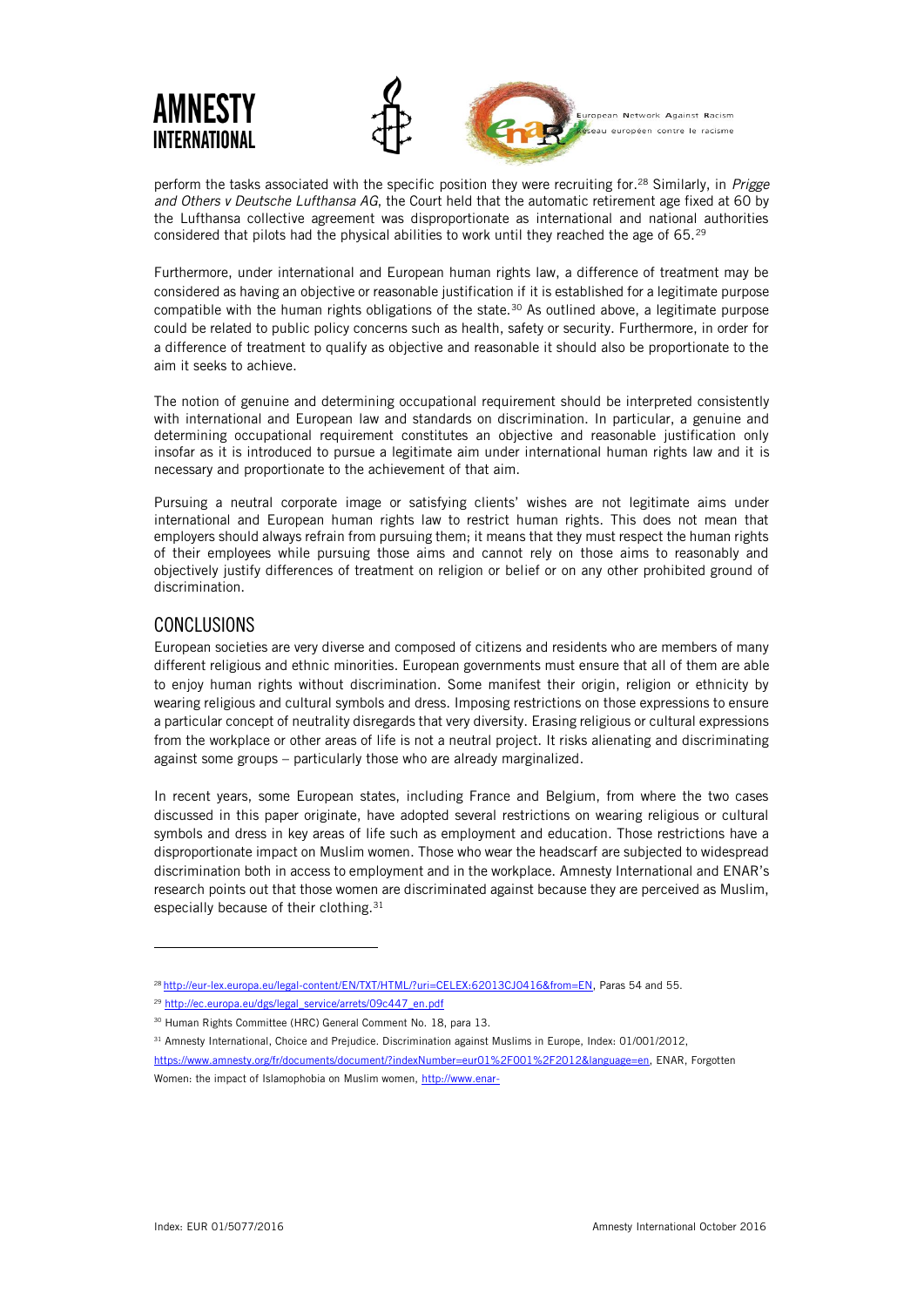

perform the tasks associated with the specific position they were recruiting for.<sup>28</sup> Similarly, in *Prigge and Others v Deutsche Lufthansa AG*, the Court held that the automatic retirement age fixed at 60 by the Lufthansa collective agreement was disproportionate as international and national authorities considered that pilots had the physical abilities to work until they reached the age of 65.<sup>29</sup>

Furthermore, under international and European human rights law, a difference of treatment may be considered as having an objective or reasonable justification if it is established for a legitimate purpose compatible with the human rights obligations of the state.<sup>30</sup> As outlined above, a legitimate purpose could be related to public policy concerns such as health, safety or security. Furthermore, in order for a difference of treatment to qualify as objective and reasonable it should also be proportionate to the aim it seeks to achieve.

The notion of genuine and determining occupational requirement should be interpreted consistently with international and European law and standards on discrimination. In particular, a genuine and determining occupational requirement constitutes an objective and reasonable justification only insofar as it is introduced to pursue a legitimate aim under international human rights law and it is necessary and proportionate to the achievement of that aim.

Pursuing a neutral corporate image or satisfying clients' wishes are not legitimate aims under international and European human rights law to restrict human rights. This does not mean that employers should always refrain from pursuing them; it means that they must respect the human rights of their employees while pursuing those aims and cannot rely on those aims to reasonably and objectively justify differences of treatment on religion or belief or on any other prohibited ground of discrimination.

# CONCLUSIONS

j

European societies are very diverse and composed of citizens and residents who are members of many different religious and ethnic minorities. European governments must ensure that all of them are able to enjoy human rights without discrimination. Some manifest their origin, religion or ethnicity by wearing religious and cultural symbols and dress. Imposing restrictions on those expressions to ensure a particular concept of neutrality disregards that very diversity. Erasing religious or cultural expressions from the workplace or other areas of life is not a neutral project. It risks alienating and discriminating against some groups – particularly those who are already marginalized.

In recent years, some European states, including France and Belgium, from where the two cases discussed in this paper originate, have adopted several restrictions on wearing religious or cultural symbols and dress in key areas of life such as employment and education. Those restrictions have a disproportionate impact on Muslim women. Those who wear the headscarf are subjected to widespread discrimination both in access to employment and in the workplace. Amnesty International and ENAR's research points out that those women are discriminated against because they are perceived as Muslim, especially because of their clothing.<sup>31</sup>

<sup>28</sup> [http://eur-lex.europa.eu/legal-content/EN/TXT/HTML/?uri=CELEX:62013CJ0416&from=EN,](http://eur-lex.europa.eu/legal-content/EN/TXT/HTML/?uri=CELEX:62013CJ0416&from=EN) Paras 54 and 55.

<sup>29</sup> [http://ec.europa.eu/dgs/legal\\_service/arrets/09c447\\_en.pdf](http://ec.europa.eu/dgs/legal_service/arrets/09c447_en.pdf)

<sup>30</sup> Human Rights Committee (HRC) General Comment No. 18, para 13.

<sup>31</sup> Amnesty International, Choice and Prejudice. Discrimination against Muslims in Europe, Index: 01/001/2012,

[https://www.amnesty.org/fr/documents/document/?indexNumber=eur01%2F001%2F2012&language=en,](https://www.amnesty.org/fr/documents/document/?indexNumber=eur01%2F001%2F2012&language=en) ENAR, Forgotten Women: the impact of Islamophobia on Muslim women, [http://www.enar-](http://www.enar-eu.org/IMG/pdf/forgottenwomenpublication_lr_final_with_latest_corrections.pdf)